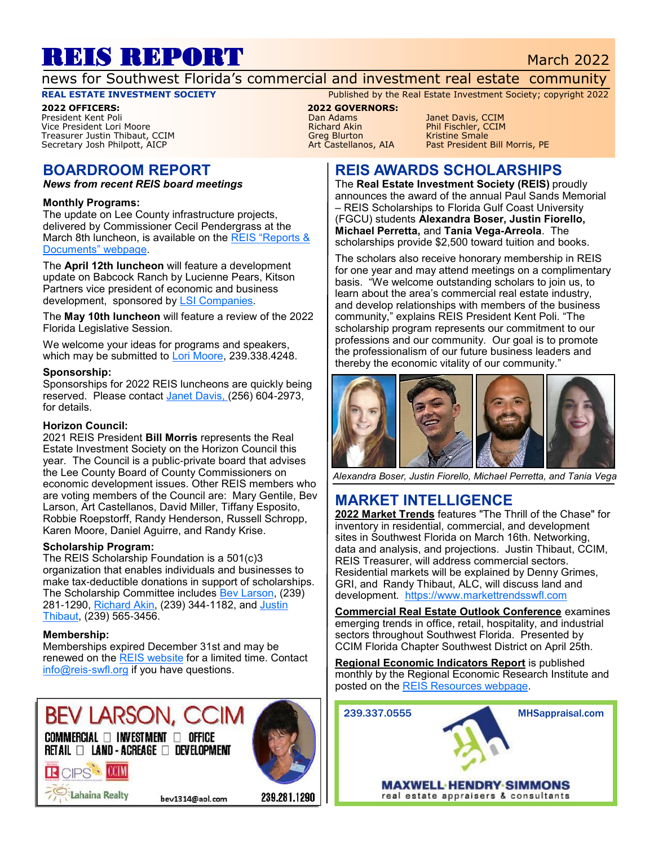# REIS REPORT March 2022

news for Southwest Florida's commercial and investment real estate community

**2022 OFFICERS: 2022 GOVERNORS:** Vice President Lori Moore Richard Akin Phil Fischler, CCIM Treasurer Justin Thibaut, CCIM and the Smale Smale Smale Smale Smale Smale Smale Smale Smale Smale Smale Smale<br>The Secretary Josh Philpott, AICP and The Smale School School State Smale Small School Small School Small Scho Secretary Josh Philpott, AICP

# **BOARDROOM REPORT**

*News from recent REIS board meetings*

#### **Monthly Programs:**

The update on Lee County infrastructure projects, delivered by Commissioner Cecil Pendergrass at the March 8th luncheon, is available on the REIS "Reports & [Documents" webpage.](https://www.reis-swfl.org/Documents.html)

The **April 12th luncheon** will feature a development update on Babcock Ranch by Lucienne Pears, Kitson Partners vice president of economic and business development, sponsored by [LSI Companies.](http://lsicompanies.com)

The **May 10th luncheon** will feature a review of the 2022 Florida Legislative Session.

We welcome your ideas for programs and speakers, which may be submitted to [Lori Moore,](mailto:lmoore@ralaw.com) 239.338.4248.

#### **Sponsorship:**

Sponsorships for 2022 REIS luncheons are quickly being reserved. Please contact [Janet Davis, \(2](mailto:Janetmariedavis1222@gmail.com)56) 604-2973, for details.

#### **Horizon Council:**

2021 REIS President **Bill Morris** represents the Real Estate Investment Society on the Horizon Council this year. The Council is a public-private board that advises the Lee County Board of County Commissioners on economic development issues. Other REIS members who are voting members of the Council are: Mary Gentile, Bev Larson, Art Castellanos, David Miller, Tiffany Esposito, Robbie Roepstorff, Randy Henderson, Russell Schropp, Karen Moore, Daniel Aguirre, and Randy Krise.

#### **Scholarship Program:**

The REIS Scholarship Foundation is a 501(c)3 organization that enables individuals and businesses to make tax-deductible donations in support of scholarships. The Scholarship Committee includes [Bev Larson,](mailto:bev1314@aol.com) (239) 281-1290, [Richard Akin,](mailto:richard.akin@henlaw.com) (239) 344-1182, and Justin [Thibaut,](mailto:jthibaut@lsicompanies.com) (239) 565-3456.

#### **Membership:**

R CIPS COM

Lahaina Realty

Memberships expired December 31st and may be renewed on the [REIS website](http://www.reis-swfl.org) for a limited time. Contact [info@reis-swfl.org](mailto:info@reis-swfl.org) if you have questions.

# **BEV LARSON, CCIM**  $\mathsf{COMMERCIAL} \ \Box \ \mathsf{INVESTMENT} \ \Box \ \mathsf{OFFICE}$

RETAIL □ LAND - ACREAGE □ DEVELOPMENT



#### bev1314@aol.com

239.281.1290

**REAL ESTATE INVESTMENT SOCIETY** Published by the Real Estate Investment Society; copyright 2022

Pan Adams Manet Davis, CCIM<br>Phil Fischler, CCIM

## **REIS AWARDS SCHOLARSHIPS**

The **Real Estate Investment Society (REIS)** proudly announces the award of the annual Paul Sands Memorial – REIS Scholarships to Florida Gulf Coast University (FGCU) students **Alexandra Boser, Justin Fiorello, Michael Perretta,** and **Tania Vega-Arreola**. The scholarships provide \$2,500 toward tuition and books.

The scholars also receive honorary membership in REIS for one year and may attend meetings on a complimentary basis. "We welcome outstanding scholars to join us, to learn about the area's commercial real estate industry, and develop relationships with members of the business community," explains REIS President Kent Poli. "The scholarship program represents our commitment to our professions and our community. Our goal is to promote the professionalism of our future business leaders and thereby the economic vitality of our community."



*Alexandra Boser, Justin Fiorello, Michael Perretta, and Tania Vega*

# **MARKET INTELLIGENCE**

**2022 Market Trends** features "The Thrill of the Chase" for inventory in residential, commercial, and development sites in Southwest Florida on March 16th. Networking, data and analysis, and projections. Justin Thibaut, CCIM, REIS Treasurer, will address commercial sectors. Residential markets will be explained by Denny Grimes, GRI, and Randy Thibaut, ALC, will discuss land and development. <https://www.markettrendsswfl.com>

**Commercial Real Estate Outlook Conference** examines emerging trends in office, retail, hospitality, and industrial sectors throughout Southwest Florida. Presented by CCIM Florida Chapter Southwest District on April 25th.

**Regional Economic Indicators Report** is published monthly by the Regional Economic Research Institute and posted on the [REIS Resources webpage.](https://www.reis-swfl.org/resources.html)